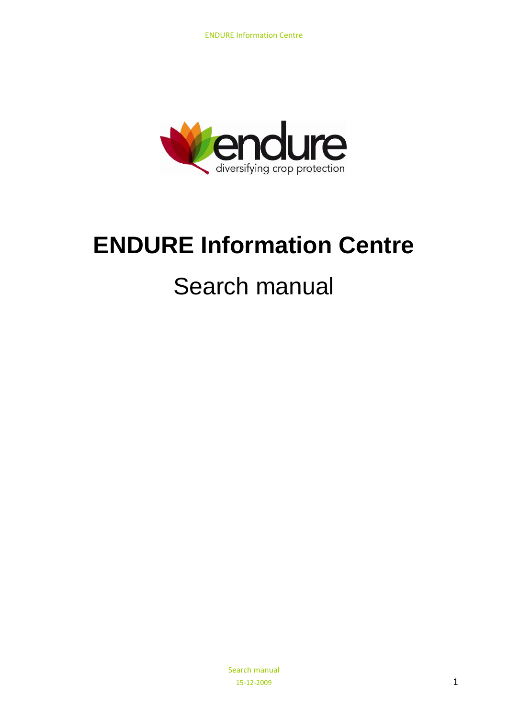

# **ENDURE Information Centre**

# Search manual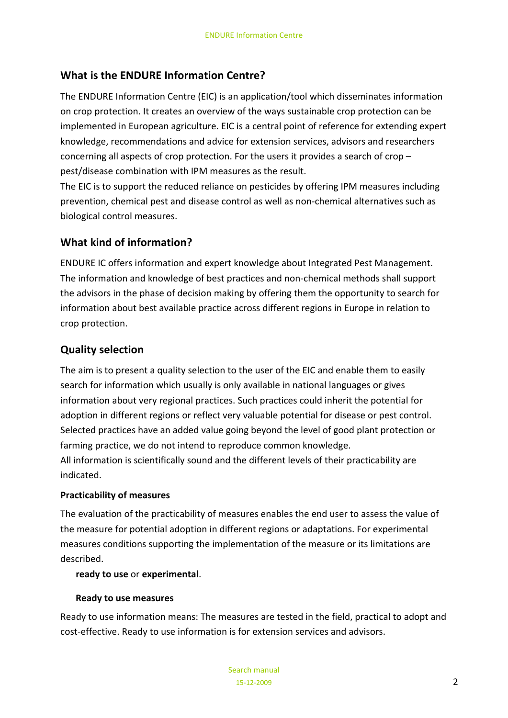# **What is the ENDURE Information Centre?**

The ENDURE Information Centre (EIC) is an application/tool which disseminates information on crop protection. It creates an overview of the ways sustainable crop protection can be implemented in European agriculture. EIC is a central point of reference for extending expert knowledge, recommendations and advice for extension services, advisors and researchers concerning all aspects of crop protection. For the users it provides a search of crop – pest/disease combination with IPM measures as the result.

The EIC is to support the reduced reliance on pesticides by offering IPM measures including prevention, chemical pest and disease control as well as non‐chemical alternatives such as biological control measures.

# **What kind of information?**

ENDURE IC offers information and expert knowledge about Integrated Pest Management. The information and knowledge of best practices and non‐chemical methods shall support the advisors in the phase of decision making by offering them the opportunity to search for information about best available practice across different regions in Europe in relation to crop protection.

# **Quality selection**

The aim is to present a quality selection to the user of the EIC and enable them to easily search for information which usually is only available in national languages or gives information about very regional practices. Such practices could inherit the potential for adoption in different regions or reflect very valuable potential for disease or pest control. Selected practices have an added value going beyond the level of good plant protection or farming practice, we do not intend to reproduce common knowledge. All information is scientifically sound and the different levels of their practicability are indicated.

#### **Practicability of measures**

The evaluation of the practicability of measures enables the end user to assess the value of the measure for potential adoption in different regions or adaptations. For experimental measures conditions supporting the implementation of the measure or its limitations are described.

#### **ready to use** or **experimental**.

## **Ready to use measures**

Ready to use information means: The measures are tested in the field, practical to adopt and cost-effective. Ready to use information is for extension services and advisors.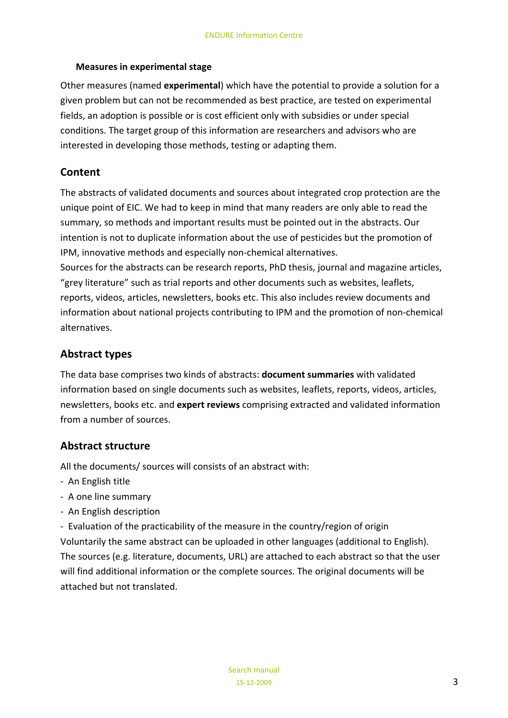#### **Measures in experimental stage**

Other measures (named **experimental**) which have the potential to provide a solution for a given problem but can not be recommended as best practice, are tested on experimental fields, an adoption is possible or is cost efficient only with subsidies or under special conditions. The target group of this information are researchers and advisors who are interested in developing those methods, testing or adapting them.

## **Content**

The abstracts of validated documents and sources about integrated crop protection are the unique point of EIC. We had to keep in mind that many readers are only able to read the summary, so methods and important results must be pointed out in the abstracts. Our intention is not to duplicate information about the use of pesticides but the promotion of IPM, innovative methods and especially non‐chemical alternatives.

Sources for the abstracts can be research reports, PhD thesis, journal and magazine articles, "grey literature" such as trial reports and other documents such as websites, leaflets, reports, videos, articles, newsletters, books etc. This also includes review documents and information about national projects contributing to IPM and the promotion of non‐chemical alternatives.

## **Abstract types**

The data base comprises two kinds of abstracts: **document summaries** with validated information based on single documents such as websites, leaflets, reports, videos, articles, newsletters, books etc. and **expert reviews** comprising extracted and validated information from a number of sources.

## **Abstract structure**

All the documents/ sources will consists of an abstract with:

- ‐ An English title
- ‐ A one line summary
- ‐ An English description

‐ Evaluation of the practicability of the measure in the country/region of origin Voluntarily the same abstract can be uploaded in other languages (additional to English). The sources (e.g. literature, documents, URL) are attached to each abstract so that the user will find additional information or the complete sources. The original documents will be attached but not translated.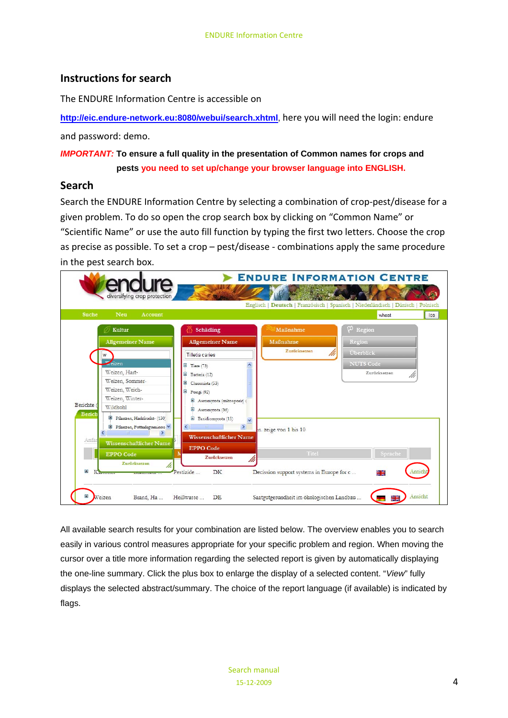### **Instructions for search**

The ENDURE Information Centre is accessible on

**<http://eic.endure-network.eu:8080/webui/search.xhtml>**, here you will need the login: endure

and password: demo.

*IMPORTANT:* **To ensure a full quality in the presentation of Common names for crops and pests you need to set up/change your browser language into ENGLISH.**

#### **Search**

Search the ENDURE Information Centre by selecting a combination of crop-pest/disease for a given problem. To do so open the crop search box by clicking on "Common Name" or "Scientific Name" or use the auto fill function by typing the first two letters. Choose the crop as precise as possible. To set a crop – pest/disease ‐ combinations apply the same procedure in the pest search box.



All available search results for your combination are listed below. The overview enables you to search easily in various control measures appropriate for your specific problem and region. When moving the cursor over a title more information regarding the selected report is given by automatically displaying the one-line summary. Click the plus box to enlarge the display of a selected content. "*View*" fully displays the selected abstract/summary. The choice of the report language (if available) is indicated by flags.